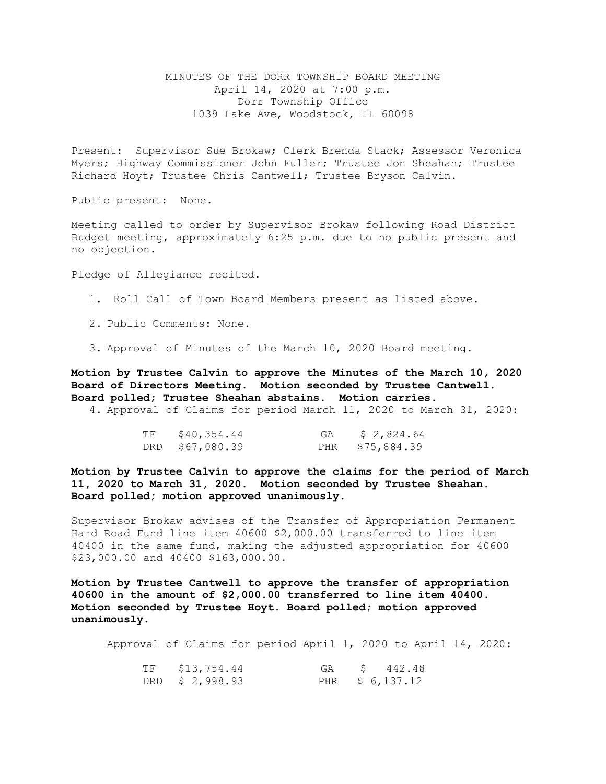## MINUTES OF THE DORR TOWNSHIP BOARD MEETING April 14, 2020 at 7:00 p.m. Dorr Township Office 1039 Lake Ave, Woodstock, IL 60098

Present: Supervisor Sue Brokaw; Clerk Brenda Stack; Assessor Veronica Myers; Highway Commissioner John Fuller; Trustee Jon Sheahan; Trustee Richard Hoyt; Trustee Chris Cantwell; Trustee Bryson Calvin.

Public present: None.

Meeting called to order by Supervisor Brokaw following Road District Budget meeting, approximately 6:25 p.m. due to no public present and no objection.

Pledge of Allegiance recited.

- 1. Roll Call of Town Board Members present as listed above.
- 2. Public Comments: None.
- 3. Approval of Minutes of the March 10, 2020 Board meeting.

**Motion by Trustee Calvin to approve the Minutes of the March 10, 2020 Board of Directors Meeting. Motion seconded by Trustee Cantwell. Board polled; Trustee Sheahan abstains. Motion carries.** 

4. Approval of Claims for period March 11, 2020 to March 31, 2020:

| TF | \$40,354.44     | GA | \$ 2,824.64     |
|----|-----------------|----|-----------------|
|    | DRD \$67,080.39 |    | PHR \$75,884.39 |

**Motion by Trustee Calvin to approve the claims for the period of March 11, 2020 to March 31, 2020. Motion seconded by Trustee Sheahan. Board polled; motion approved unanimously.**

Supervisor Brokaw advises of the Transfer of Appropriation Permanent Hard Road Fund line item 40600 \$2,000.00 transferred to line item 40400 in the same fund, making the adjusted appropriation for 40600 \$23,000.00 and 40400 \$163,000.00.

**Motion by Trustee Cantwell to approve the transfer of appropriation 40600 in the amount of \$2,000.00 transferred to line item 40400. Motion seconded by Trustee Hoyt. Board polled; motion approved unanimously.** 

Approval of Claims for period April 1, 2020 to April 14, 2020:

| TF \$13,754.44  |  | GA \$ 442.48    |
|-----------------|--|-----------------|
| DRD $$2,998.93$ |  | PHR \$ 6,137.12 |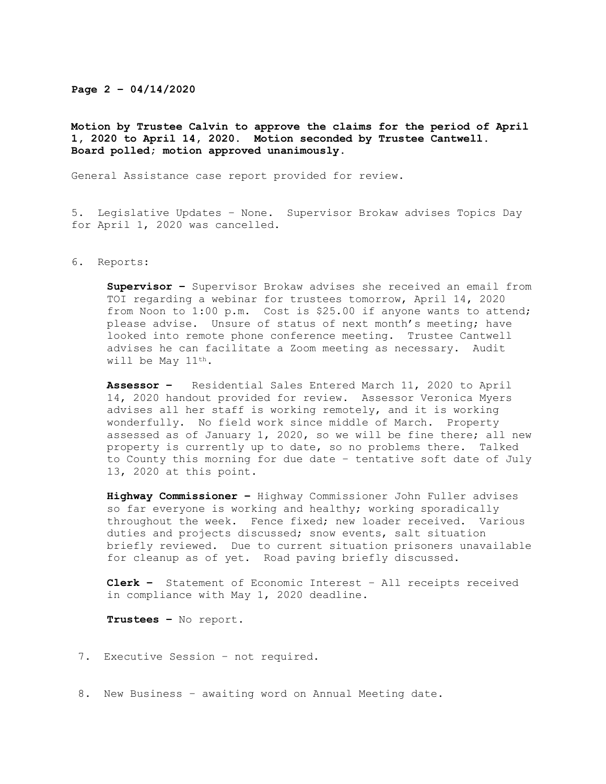## **Page 2 – 04/14/2020**

**Motion by Trustee Calvin to approve the claims for the period of April 1, 2020 to April 14, 2020. Motion seconded by Trustee Cantwell. Board polled; motion approved unanimously.** 

General Assistance case report provided for review.

5. Legislative Updates – None. Supervisor Brokaw advises Topics Day for April 1, 2020 was cancelled.

## 6. Reports:

**Supervisor –** Supervisor Brokaw advises she received an email from TOI regarding a webinar for trustees tomorrow, April 14, 2020 from Noon to 1:00 p.m. Cost is \$25.00 if anyone wants to attend; please advise. Unsure of status of next month's meeting; have looked into remote phone conference meeting. Trustee Cantwell advises he can facilitate a Zoom meeting as necessary. Audit will be May 11th.

**Assessor –** Residential Sales Entered March 11, 2020 to April 14, 2020 handout provided for review. Assessor Veronica Myers advises all her staff is working remotely, and it is working wonderfully. No field work since middle of March. Property assessed as of January 1, 2020, so we will be fine there; all new property is currently up to date, so no problems there. Talked to County this morning for due date – tentative soft date of July 13, 2020 at this point.

**Highway Commissioner –** Highway Commissioner John Fuller advises so far everyone is working and healthy; working sporadically throughout the week. Fence fixed; new loader received. Various duties and projects discussed; snow events, salt situation briefly reviewed. Due to current situation prisoners unavailable for cleanup as of yet. Road paving briefly discussed.

**Clerk –** Statement of Economic Interest – All receipts received in compliance with May 1, 2020 deadline.

**Trustees –** No report.

- 7. Executive Session not required.
- 8. New Business awaiting word on Annual Meeting date.